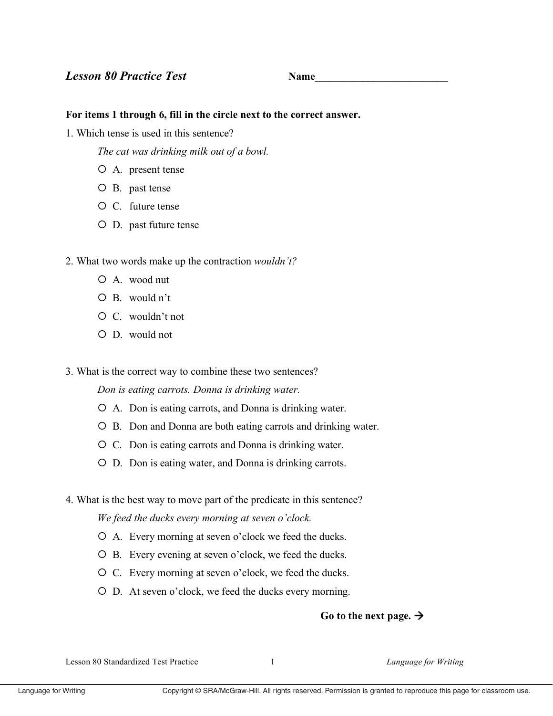**Name** 

## For items 1 through 6, fill in the circle next to the correct answer.

1. Which tense is used in this sentence?

The cat was drinking milk out of a bowl.

- $O$  A. present tense
- O B. past tense
- $\circ$  C. future tense
- O D. past future tense
- 2. What two words make up the contraction *wouldn't?* 
	- $O$  A. wood nut
	- $O$  B. would n't
	- $\circ$  C. wouldn't not
	- $O \nD$  would not
- 3. What is the correct way to combine these two sentences?

Don is eating carrots. Donna is drinking water.

- O A. Don is eating carrots, and Donna is drinking water.
- O B. Don and Donna are both eating carrots and drinking water.
- O C. Don is eating carrots and Donna is drinking water.
- O D. Don is eating water, and Donna is drinking carrots.
- 4. What is the best way to move part of the predicate in this sentence?

We feed the ducks every morning at seven o'clock.

- O A. Every morning at seven o'clock we feed the ducks.
- O B. Every evening at seven o'clock, we feed the ducks.
- O C. Every morning at seven o'clock, we feed the ducks.
- O D. At seven o'clock, we feed the ducks every morning.

## Go to the next page.  $\rightarrow$

Lesson 80 Standardized Test Practice

 $\mathbf{1}$ 

Language for Writing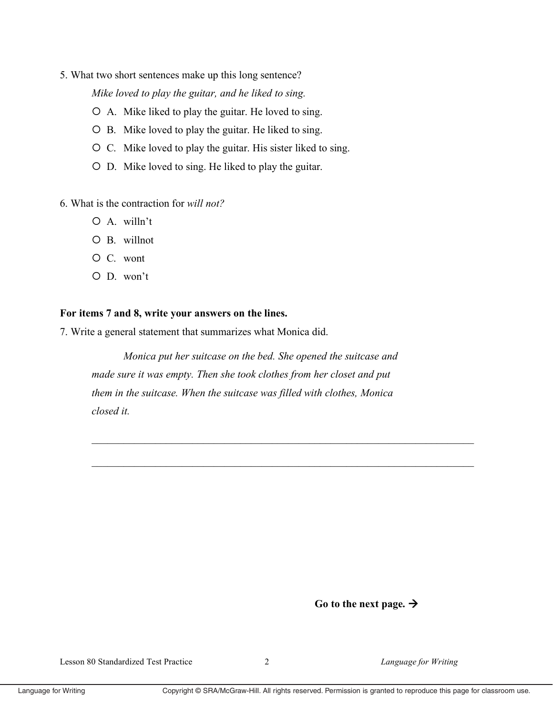5. What two short sentences make up this long sentence?

Mike loved to play the guitar, and he liked to sing.

- O A. Mike liked to play the guitar. He loved to sing.
- O B. Mike loved to play the guitar. He liked to sing.
- O C. Mike loved to play the guitar. His sister liked to sing.
- O D. Mike loved to sing. He liked to play the guitar.

6. What is the contraction for will not?

- $O$  A. willn't
- $O$  B. willnot
- O C. wont
- $O$  D. won't

## For items 7 and 8, write your answers on the lines.

7. Write a general statement that summarizes what Monica did.

Monica put her suitcase on the bed. She opened the suitcase and made sure it was empty. Then she took clothes from her closet and put them in the suitcase. When the suitcase was filled with clothes, Monica closed it.

Go to the next page.  $\rightarrow$ 

Language for Writing